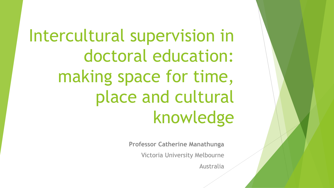Intercultural supervision in doctoral education: making space for time, place and cultural knowledge

**Professor Catherine Manathunga**

Victoria University Melbourne

Australia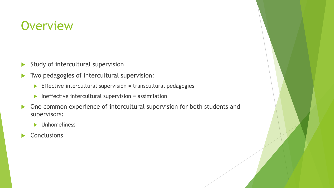## **Overview**

- $\blacktriangleright$  Study of intercultural supervision
- Two pedagogies of intercultural supervision:
	- $\blacktriangleright$  Effective intercultural supervision = transcultural pedagogies
	- $\blacktriangleright$  Ineffective intercultural supervision = assimilation
- ▶ One common experience of intercultural supervision for both students and supervisors:
	- **Dimensional View Manufator**
- **Conclusions**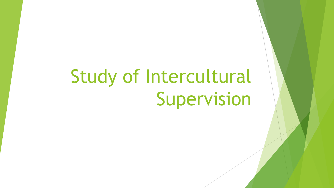# Study of Intercultural Supervision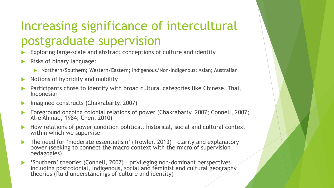# Increasing significance of intercultural postgraduate supervision

- Exploring large-scale and abstract conceptions of culture and identity
- Risks of binary language:
	- Northern/Southern; Western/Eastern; Indigenous/Non-Indigenous; Asian; Australian
- $\triangleright$  Notions of hybridity and mobility
- Participants chose to identify with broad cultural categories like Chinese, Thai, Indonesian
- Imagined constructs (Chakrabarty, 2007)
- Foreground ongoing colonial relations of power (Chakrabarty, 2007; Connell, 2007; Al-e Ahmad, 1984; Chen, 2010)
- How relations of power condition political, historical, social and cultural context within which we supervise
- The need for 'moderate essentialism' (Trowler, 2013) clarity and explanatory power (seeking to connect the macro context with the micro of supervision pedagogies)
- 'Southern' theories (Connell, 2007) privileging non-dominant perspectives including postcolonial, Indigenous, social and feminist and cultural geography theories (fluid understandings of culture and identity)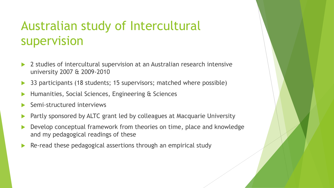# Australian study of Intercultural supervision

- 2 studies of intercultural supervision at an Australian research intensive university 2007 & 2009-2010
- 33 participants (18 students; 15 supervisors; matched where possible)
- Humanities, Social Sciences, Engineering & Sciences
- Semi-structured interviews
- Partly sponsored by ALTC grant led by colleagues at Macquarie University
- Develop conceptual framework from theories on time, place and knowledge and my pedagogical readings of these
- Re-read these pedagogical assertions through an empirical study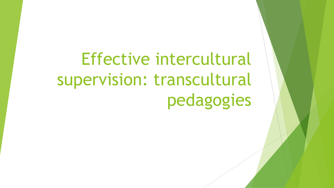# Effective intercultural supervision: transcultural pedagogies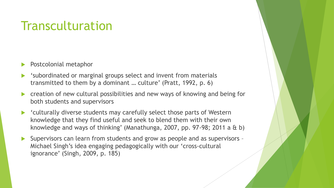# **Transculturation**

- Postcolonial metaphor
- 'subordinated or marginal groups select and invent from materials transmitted to them by a dominant … culture' (Pratt, 1992, p. 6)
- creation of new cultural possibilities and new ways of knowing and being for both students and supervisors
- 'culturally diverse students may carefully select those parts of Western knowledge that they find useful and seek to blend them with their own knowledge and ways of thinking' (Manathunga, 2007, pp. 97-98; 2011 a & b)
- Supervisors can learn from students and grow as people and as supervisors Michael Singh's idea engaging pedagogically with our 'cross-cultural ignorance' (Singh, 2009, p. 185)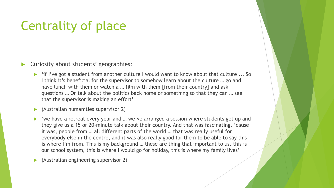# Centrality of place

Curiosity about students' geographies:

- 'if I've got a student from another culture I would want to know about that culture ... So I think it's beneficial for the supervisor to somehow learn about the culture … go and have lunch with them or watch a ... film with them [from their country] and ask questions … Or talk about the politics back home or something so that they can … see that the supervisor is making an effort'
- (Australian humanities supervisor 2)
- 'we have a retreat every year and … we've arranged a session where students get up and they give us a 15 or 20-minute talk about their country. And that was fascinating, 'cause it was, people from … all different parts of the world … that was really useful for everybody else in the centre, and it was also really good for them to be able to say this is where I'm from. This is my background … these are thing that important to us, this is our school system, this is where I would go for holiday, this is where my family lives'

(Australian engineering supervisor 2)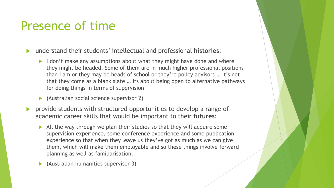## Presence of time

- understand their students' intellectual and professional **histories**:
	- $\blacktriangleright$  I don't make any assumptions about what they might have done and where they might be headed. Some of them are in much higher professional positions than I am or they may be heads of school or they're policy advisors … It's not that they come as a blank slate … its about being open to alternative pathways for doing things in terms of supervision
	- (Australian social science supervisor 2)
- provide students with structured opportunities to develop a range of academic career skills that would be important to their **futures**:
	- All the way through we plan their studies so that they will acquire some supervision experience, some conference experience and some publication experience so that when they leave us they've got as much as we can give them, which will make them employable and so these things involve forward planning as well as familiarisation.
	- (Australian humanities supervisor 3)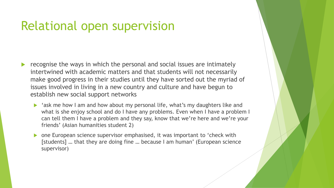#### Relational open supervision

- recognise the ways in which the personal and social issues are intimately intertwined with academic matters and that students will not necessarily make good progress in their studies until they have sorted out the myriad of issues involved in living in a new country and culture and have begun to establish new social support networks
	- 'ask me how I am and how about my personal life, what's my daughters like and what is she enjoy school and do I have any problems. Even when I have a problem I can tell them I have a problem and they say, know that we're here and we're your friends' (Asian humanities student 2)
	- ▶ one European science supervisor emphasised, it was important to 'check with [students] … that they are doing fine … because I am human' (European science supervisor)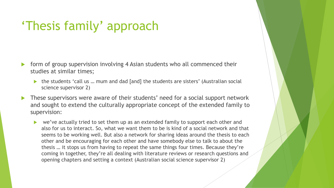# 'Thesis family' approach

- form of group supervision involving 4 Asian students who all commenced their studies at similar times;
	- the students 'call us … mum and dad [and] the students are sisters' (Australian social science supervisor 2)
- These supervisors were aware of their students' need for a social support network and sought to extend the culturally appropriate concept of the extended family to supervision:
	- we've actually tried to set them up as an extended family to support each other and also for us to interact. So, what we want them to be is kind of a social network and that seems to be working well. But also a network for sharing ideas around the thesis to each other and be encouraging for each other and have somebody else to talk to about the thesis … it stops us from having to repeat the same things four times. Because they're coming in together, they're all dealing with literature reviews or research questions and opening chapters and setting a context (Australian social science supervisor 2)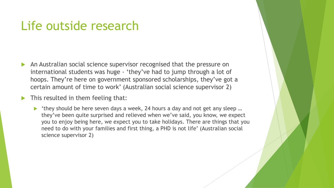#### Life outside research

- An Australian social science supervisor recognised that the pressure on international students was huge - 'they've had to jump through a lot of hoops. They're here on government sponsored scholarships, they've got a certain amount of time to work' (Australian social science supervisor 2)
- This resulted in them feeling that:
	- ▶ 'they should be here seven days a week, 24 hours a day and not get any sleep ... they've been quite surprised and relieved when we've said, you know, we expect you to enjoy being here, we expect you to take holidays. There are things that you need to do with your families and first thing, a PHD is not life' (Australian social science supervisor 2)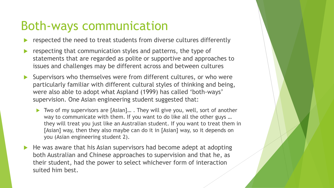## Both-ways communication

- respected the need to treat students from diverse cultures differently
- respecting that communication styles and patterns, the type of statements that are regarded as polite or supportive and approaches to issues and challenges may be different across and between cultures
- Supervisors who themselves were from different cultures, or who were particularly familiar with different cultural styles of thinking and being, were also able to adopt what Aspland (1999) has called 'both-ways' supervision. One Asian engineering student suggested that:
	- Two of my supervisors are [Asian]… . They will give you, well, sort of another way to communicate with them. If you want to do like all the other guys … they will treat you just like an Australian student. If you want to treat them in [Asian] way, then they also maybe can do it in [Asian] way, so it depends on you (Asian engineering student 2).
- He was aware that his Asian supervisors had become adept at adopting both Australian and Chinese approaches to supervision and that he, as their student, had the power to select whichever form of interaction suited him best.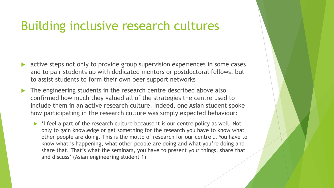#### Building inclusive research cultures

- active steps not only to provide group supervision experiences in some cases and to pair students up with dedicated mentors or postdoctoral fellows, but to assist students to form their own peer support networks
- The engineering students in the research centre described above also confirmed how much they valued all of the strategies the centre used to include them in an active research culture. Indeed, one Asian student spoke how participating in the research culture was simply expected behaviour:
	- $\blacktriangleright$  'I feel a part of the research culture because it is our centre policy as well. Not only to gain knowledge or get something for the research you have to know what other people are doing. This is the motto of research for our centre … You have to know what is happening, what other people are doing and what you're doing and share that. That's what the seminars, you have to present your things, share that and discuss' (Asian engineering student 1)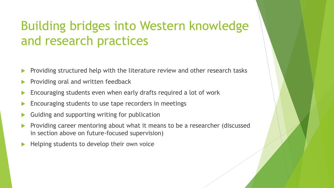# Building bridges into Western knowledge and research practices

- Providing structured help with the literature review and other research tasks
- Providing oral and written feedback
- Encouraging students even when early drafts required a lot of work
- Encouraging students to use tape recorders in meetings
- Guiding and supporting writing for publication
- Providing career mentoring about what it means to be a researcher (discussed in section above on future-focused supervision)
- Helping students to develop their own voice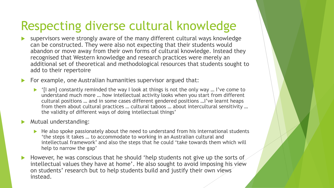# Respecting diverse cultural knowledge

- supervisors were strongly aware of the many different cultural ways knowledge can be constructed. They were also not expecting that their students would abandon or move away from their own forms of cultural knowledge. Instead they recognised that Western knowledge and research practices were merely an additional set of theoretical and methodological resources that students sought to add to their repertoire
- For example, one Australian humanities supervisor argued that:
	- $\blacktriangleright$  '[I am] constantly reminded the way I look at things is not the only way ... I've come to understand much more … how intellectual activity looks when you start from different cultural positions … and in some cases different gendered positions …I've learnt heaps from them about cultural practices … cultural taboos … about intercultural sensitivity … the validity of different ways of doing intellectual things'
- **Mutual understanding:** 
	- $\blacktriangleright$  He also spoke passionately about the need to understand from his international students 'the steps it takes … to accommodate to working in an Australian cultural and intellectual framework' and also the steps that he could 'take towards them which will help to narrow the gap'
- However, he was conscious that he should 'help students not give up the sorts of intellectual values they have at home'. He also sought to avoid imposing his view on students' research but to help students build and justify their own views instead.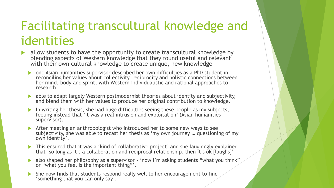# Facilitating transcultural knowledge and identities

- allow students to have the opportunity to create transcultural knowledge by blending aspects of Western knowledge that they found useful and relevant with their own cultural knowledge to create unique, new knowledge
	- one Asian humanities supervisor described her own difficulties as a PhD student in reconciling her values about collectivity, reciprocity and holistic connections between her mind, body and spirit, with Western individualistic and rational approaches to research.
	- able to adapt largely Western postmodernist theories about identity and subjectivity, and blend them with her values to produce her original contribution to knowledge.
	- In writing her thesis, she had huge difficulties seeing these people as my subjects, feeling instead that 'it was a real intrusion and exploitation' (Asian humanities supervisor).
	- After meeting an anthropologist who introduced her to some new ways to see subjectivity, she was able to recast her thesis as 'my own journey … questioning of my own identity'.
	- This ensured that it was a 'kind of collaborative project' and she laughingly explained that 'so long as it's a collaboration and reciprocal relationship, then it's ok [laughs]'
	- also shaped her philosophy as a supervisor 'now I'm asking students "what you think" or "what you feel is the important thing"'.
	- She now finds that students respond really well to her encouragement to find 'something that you can only say'.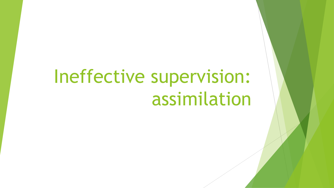# Ineffective supervision: assimilation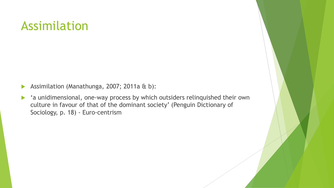### Assimilation

- Assimilation (Manathunga, 2007; 2011a & b):
- 'a unidimensional, one-way process by which outsiders relinquished their own culture in favour of that of the dominant society' (Penguin Dictionary of Sociology, p. 18) - Euro-centrism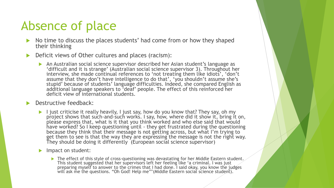## Absence of place

- No time to discuss the places students' had come from or how they shaped their thinking
- Deficit views of Other cultures and places (racism):
	- An Australian social science supervisor described her Asian student's language as 'difficult and it is strange' (Australian social science supervisor 3). Throughout her interview, she made continual references to 'not treating them like idiots', 'don't assume that they don't have intelligence to do that', 'you shouldn't assume she's stupid' because of students' language difficulties. Indeed, she compared English as additional language speakers to 'deaf' people. The effect of this reinforced her deficit view of international students.
- Destructive feedback:
	- I just criticise it really heavily, I just say, how do you know that? They say, oh my project shows that such-and-such works. I say, how, where did it show it, bring it on, please express that, what is it that you think worked and who else said that would have worked? So I keep questioning until - they get frustrated during the questioning because they think that their message is not getting across, but what I'm trying to get them to see is that the way they are expressing the message is not the right way. They should be doing it differently (European social science supervisor)
	- Impact on student:
		- $\blacktriangleright$  The effect of this style of cross-questioning was devastating for her Middle Eastern student. This student suggested that her supervisors left her feeling like 'a criminal. I was just preparing myself to answer to the crimes that I had done. I said okay, you know the judges will ask me the questions. "Oh God! Help me'" (Middle Eastern social science student).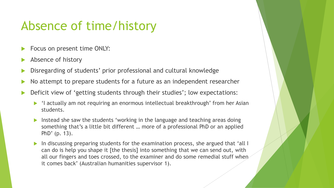## Absence of time/history

- Focus on present time ONLY:
- Absence of history
- Disregarding of students' prior professional and cultural knowledge
- No attempt to prepare students for a future as an independent researcher
- Deficit view of 'getting students through their studies'; low expectations:
	- 'I actually am not requiring an enormous intellectual breakthrough' from her Asian students.
	- Instead she saw the students 'working in the language and teaching areas doing something that's a little bit different … more of a professional PhD or an applied PhD' (p. 13).
	- In discussing preparing students for the examination process, she argued that 'all I can do is help you shape it [the thesis] into something that we can send out, with all our fingers and toes crossed, to the examiner and do some remedial stuff when it comes back' (Australian humanities supervisor 1).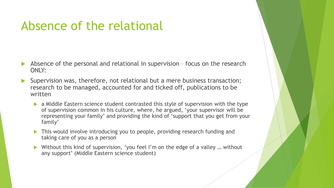# Absence of the relational

- Absence of the personal and relational in supervision focus on the research ONLY:
- Supervision was, therefore, not relational but a mere business transaction; research to be managed, accounted for and ticked off, publications to be written
	- a Middle Eastern science student contrasted this style of supervision with the type of supervision common in his culture, where, he argued, 'your supervisor will be representing your family' and providing the kind of 'support that you get from your family'
	- ▶ This would involve introducing you to people, providing research funding and taking care of you as a person
	- ▶ Without this kind of supervision, 'you feel I'm on the edge of a valley ... without any support' (Middle Eastern science student)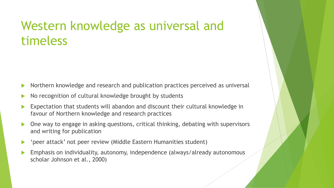### Western knowledge as universal and timeless

- Northern knowledge and research and publication practices perceived as universal
- No recognition of cultural knowledge brought by students
- Expectation that students will abandon and discount their cultural knowledge in favour of Northern knowledge and research practices
- One way to engage in asking questions, critical thinking, debating with supervisors and writing for publication
- 'peer attack' not peer review (Middle Eastern Humanities student)
- Emphasis on individuality, autonomy, independence (always/already autonomous scholar Johnson et al., 2000)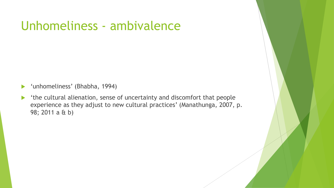## Unhomeliness - ambivalence

- 'unhomeliness' (Bhabha, 1994)
- 'the cultural alienation, sense of uncertainty and discomfort that people experience as they adjust to new cultural practices' (Manathunga, 2007, p. 98; 2011 a & b)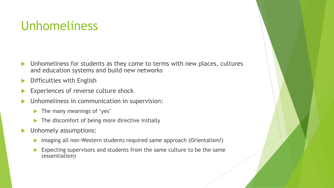## Unhomeliness

- Unhomeliness for students as they come to terms with new places, cultures and education systems and build new networks
- Difficulties with English
- Experiences of reverse culture shock
- Unhomeliness in communication in supervision:
	- The many meanings of 'yes'
	- $\blacktriangleright$  The discomfort of being more directive initially
- **Inhomely assumptions:** 
	- ▶ Imaging all non-Western students required same approach (Orientalism?)
	- Expecting supervisors and students from the same culture to be the same (essentialism)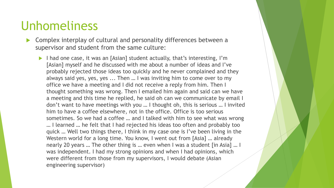#### Unhomeliness

- Complex interplay of cultural and personality differences between a supervisor and student from the same culture:
	- I had one case, it was an [Asian] student actually, that's interesting, I'm [Asian] myself and he discussed with me about a number of ideas and I've probably rejected those ideas too quickly and he never complained and they always said yes, yes, yes ... Then … I was inviting him to come over to my office we have a meeting and I did not receive a reply from him. Then I thought something was wrong. Then I emailed him again and said can we have a meeting and this time he replied, he said oh can we communicate by email I don't want to have meetings with you … I thought oh, this is serious … I invited him to have a coffee elsewhere, not in the office. Office is too serious sometimes. So we had a coffee … and I talked with him to see what was wrong … I learned … he felt that I had rejected his ideas too often and probably too quick … Well two things there, I think in my case one is I've been living in the Western world for a long time. You know, I went out from [Asia] … already nearly 20 years … The other thing is … even when I was a student [in Asia] … I was independent. I had my strong opinions and when I had opinions, which were different from those from my supervisors, I would debate (Asian engineering supervisor)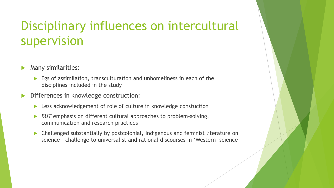# Disciplinary influences on intercultural supervision

- Many similarities:
	- Egs of assimilation, transculturation and unhomeliness in each of the disciplines included in the study
- Differences in knowledge construction:
	- ▶ Less acknowledgement of role of culture in knowledge constuction
	- **BUT** emphasis on different cultural approaches to problem-solving, communication and research practices
	- Challenged substantially by postcolonial, Indigenous and feminist literature on science – challenge to universalist and rational discourses in 'Western' science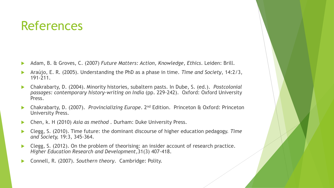- Adam, B. & Groves, C. (2007) *Future Matters: Action, Knowledge, Ethics*. Leiden: Brill.
- Araújo, E. R. (2005). Understanding the PhD as a phase in time. *Time and Society*, 14:2/3, 191-211.
- Chakrabarty, D. (2004). Minority histories, subaltern pasts. In Dube, S. (ed.). *Postcolonial passages: contemporary history-writing on India* (pp. 229-242). Oxford: Oxford University Press.
- Chakrabarty, D. (2007). *Provincializing Europe*. 2nd Edition. Princeton & Oxford: Princeton University Press.
- Chen, k. H (2010) *Asia as method .* Durham: Duke University Press.
- Clegg, S. (2010). Time future: the dominant discourse of higher education pedagogy. *Time and Society,* 19:3, 345-364.
- Clegg, S. (2012). On the problem of theorising: an insider account of research practice. *Higher Education Research and Development*,31(3) 407-418.
- Connell, R. (2007). *Southern theory*. Cambridge: Polity.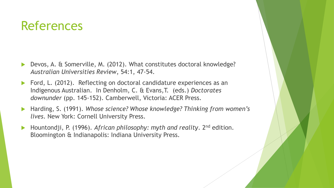- Devos, A. & Somerville, M. (2012). What constitutes doctoral knowledge? *Australian Universities Review*, 54:1, 47-54.
- ▶ Ford, L. (2012). Reflecting on doctoral candidature experiences as an Indigenous Australian. In Denholm, C. & Evans,T. (eds.) *Doctorates downunder* (pp. 145-152). Camberwell, Victoria: ACER Press.
- Harding, S. (1991). *Whose science? Whose knowledge? Thinking from women's lives*. New York: Cornell University Press.
- Hountondji, P. (1996). *African philosophy: myth and reality*. 2nd edition. Bloomington & Indianapolis: Indiana University Press.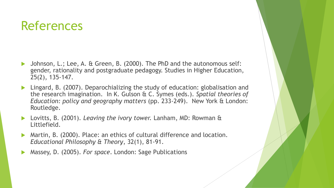- Johnson, L.; Lee, A. & Green, B. (2000). The PhD and the autonomous self: gender, rationality and postgraduate pedagogy. Studies in Higher Education, 25(2), 135-147.
- Lingard, B. (2007). Deparochializing the study of education: globalisation and the research imagination. In K. Gulson & C. Symes (eds.). *Spatial theories of Education: policy and geography matters* (pp. 233-249). New York & London: Routledge.
- Lovitts, B. (2001). *Leaving the ivory tower.* Lanham, MD: Rowman & Littlefield.
- Martin, B. (2000). Place: an ethics of cultural difference and location. *Educational Philosophy & Theory*, 32(1), 81-91.
- Massey, D. (2005). *For space*. London: Sage Publications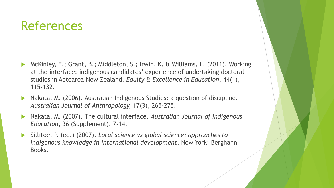- McKinley, E.; Grant, B.; Middleton, S.; Irwin, K. & Williams, L. (2011). Working at the interface: indigenous candidates' experience of undertaking doctoral studies in Aotearoa New Zealand*. Equity & Excellence in Education*, 44(1), 115-132.
- Nakata, M. (2006). Australian Indigenous Studies: a question of discipline*. Australian Journal of Anthropology,* 17(3), 265-275.
- Nakata, M. (2007). The cultural interface. *Australian Journal of Indigenous Education*, 36 (Supplement), 7-14.
- Sillitoe, P. (ed.) (2007). *Local science vs global science: approaches to Indigenous knowledge in international development*. New York: Berghahn Books.